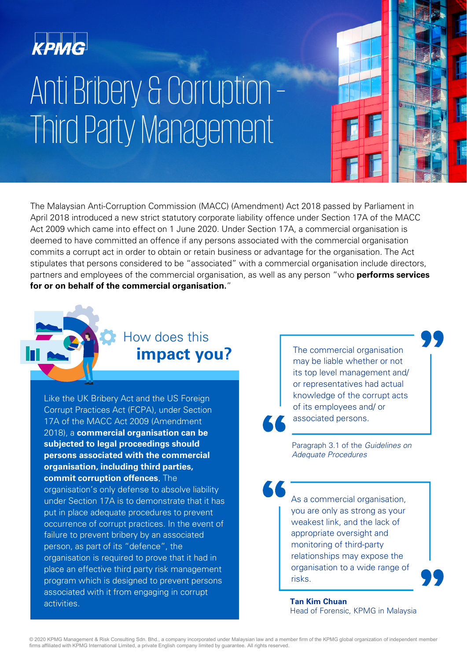

# Anti Bribery & Corruption – Third Party Management

The Malaysian Anti-Corruption Commission (MACC) (Amendment) Act 2018 passed by Parliament in April 2018 introduced a new strict statutory corporate liability offence under Section 17A of the MACC Act 2009 which came into effect on 1 June 2020. Under Section 17A, a commercial organisation is deemed to have committed an offence if any persons associated with the commercial organisation commits a corrupt act in order to obtain or retain business or advantage for the organisation. The Act stipulates that persons considered to be "associated" with a commercial organisation include directors, partners and employees of the commercial organisation, as well as any person "who **performs services for or on behalf of the commercial organisation.**"

### **impact you?** How does this

Like the UK Bribery Act and the US Foreign Corrupt Practices Act (FCPA), under Section 17A of the MACC Act 2009 (Amendment 2018), a **commercial organisation can be subjected to legal proceedings should persons associated with the commercial organisation, including third parties, commit corruption offences**. The organisation's only defense to absolve liability under Section 17A is to demonstrate that it has put in place adequate procedures to prevent occurrence of corrupt practices. In the event of failure to prevent bribery by an associated person, as part of its "defence", the organisation is required to prove that it had in place an effective third party risk management program which is designed to prevent persons associated with it from engaging in corrupt activities.

The commercial organisation may be liable whether or not its top level management and/ or representatives had actual knowledge of the corrupt acts of its employees and/ or associated persons.

Paragraph 3.1 of the *Guidelines on Adequate Procedures*

As a commercial organisation, you are only as strong as your weakest link, and the lack of appropriate oversight and monitoring of third-party relationships may expose the organisation to a wide range of risks.

**Tan Kim Chuan** Head of Forensic, KPMG in Malaysia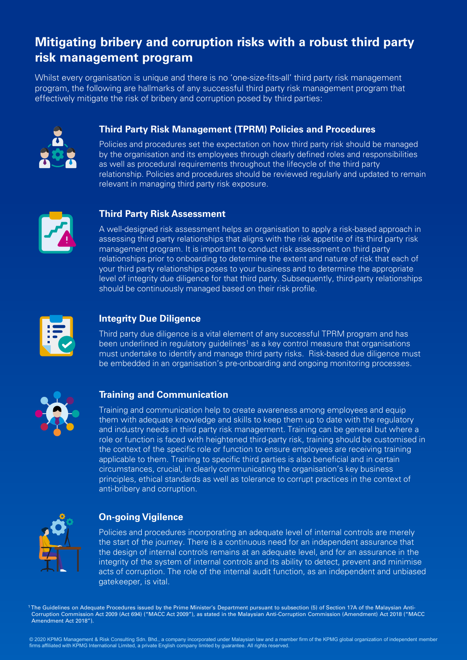### **Mitigating bribery and corruption risks with a robust third party risk management program**

Whilst every organisation is unique and there is no 'one-size-fits-all' third party risk management program, the following are hallmarks of any successful third party risk management program that effectively mitigate the risk of bribery and corruption posed by third parties:



### **Third Party Risk Management (TPRM) Policies and Procedures**

Policies and procedures set the expectation on how third party risk should be managed by the organisation and its employees through clearly defined roles and responsibilities as well as procedural requirements throughout the lifecycle of the third party relationship. Policies and procedures should be reviewed regularly and updated to remain relevant in managing third party risk exposure.



### **Third Party Risk Assessment**

A well-designed risk assessment helps an organisation to apply a risk-based approach in assessing third party relationships that aligns with the risk appetite of its third party risk management program. It is important to conduct risk assessment on third party relationships prior to onboarding to determine the extent and nature of risk that each of your third party relationships poses to your business and to determine the appropriate level of integrity due diligence for that third party. Subsequently, third-party relationships should be continuously managed based on their risk profile.



### **Integrity Due Diligence**

Third party due diligence is a vital element of any successful TPRM program and has been underlined in regulatory guidelines<sup>1</sup> as a key control measure that organisations must undertake to identify and manage third party risks. Risk-based due diligence must be embedded in an organisation's pre-onboarding and ongoing monitoring processes.



### **Training and Communication**

Training and communication help to create awareness among employees and equip them with adequate knowledge and skills to keep them up to date with the regulatory and industry needs in third party risk management. Training can be general but where a role or function is faced with heightened third-party risk, training should be customised in the context of the specific role or function to ensure employees are receiving training applicable to them. Training to specific third parties is also beneficial and in certain circumstances, crucial, in clearly communicating the organisation's key business principles, ethical standards as well as tolerance to corrupt practices in the context of anti-bribery and corruption.



### **On-going Vigilence**

Policies and procedures incorporating an adequate level of internal controls are merely the start of the journey. There is a continuous need for an independent assurance that the design of internal controls remains at an adequate level, and for an assurance in the integrity of the system of internal controls and its ability to detect, prevent and minimise acts of corruption. The role of the internal audit function, as an independent and unbiased gatekeeper, is vital.

1 The Guidelines on Adequate Procedures issued by the Prime Minister's Department pursuant to subsection (5) of Section 17A of the Malaysian Anti-Corruption Commission Act 2009 (Act 694) ("MACC Act 2009"), as stated in the Malaysian Anti-Corruption Commission (Amendment) Act 2018 ("MACC Amendment Act 2018").

© 2020 KPMG Management & Risk Consulting Sdn. Bhd., a company incorporated under Malaysian law and a member firm of the KPMG global organization of independent member<br>firms affiliated with KPMG International Limited, a pri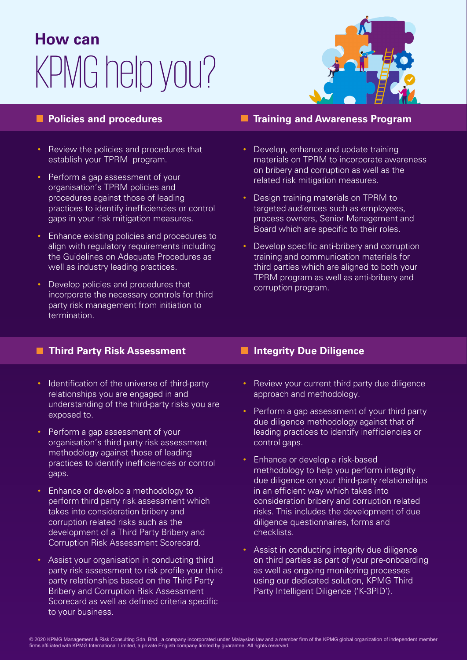## KPMG help you? **How can**



- Review the policies and procedures that establish your TPRM program.
- Perform a gap assessment of your organisation's TPRM policies and procedures against those of leading practices to identify inefficiencies or control gaps in your risk mitigation measures.
- Enhance existing policies and procedures to align with regulatory requirements including the Guidelines on Adequate Procedures as well as industry leading practices.
- Develop policies and procedures that incorporate the necessary controls for third party risk management from initiation to termination.

### **Policies and procedures TRAINING AREA Training and Awareness Program**

- Develop, enhance and update training materials on TPRM to incorporate awareness on bribery and corruption as well as the related risk mitigation measures.
- Design training materials on TPRM to targeted audiences such as employees, process owners, Senior Management and Board which are specific to their roles.
- Develop specific anti-bribery and corruption training and communication materials for third parties which are aligned to both your TPRM program as well as anti-bribery and corruption program.

### **Third Party Risk Assessment Integrity Due Diligence**

- Identification of the universe of third-party relationships you are engaged in and understanding of the third-party risks you are exposed to.
- Perform a gap assessment of your organisation's third party risk assessment methodology against those of leading practices to identify inefficiencies or control gaps.
- Enhance or develop a methodology to perform third party risk assessment which takes into consideration bribery and corruption related risks such as the development of a Third Party Bribery and Corruption Risk Assessment Scorecard.
- Assist your organisation in conducting third party risk assessment to risk profile your third party relationships based on the Third Party Bribery and Corruption Risk Assessment Scorecard as well as defined criteria specific to your business.

- Review your current third party due diligence approach and methodology.
- Perform a gap assessment of your third party due diligence methodology against that of leading practices to identify inefficiencies or control gaps.
- Enhance or develop a risk-based methodology to help you perform integrity due diligence on your third-party relationships in an efficient way which takes into consideration bribery and corruption related risks. This includes the development of due diligence questionnaires, forms and checklists.
- Assist in conducting integrity due diligence on third parties as part of your pre-onboarding as well as ongoing monitoring processes using our dedicated solution, KPMG Third Party Intelligent Diligence ('K-3PID').